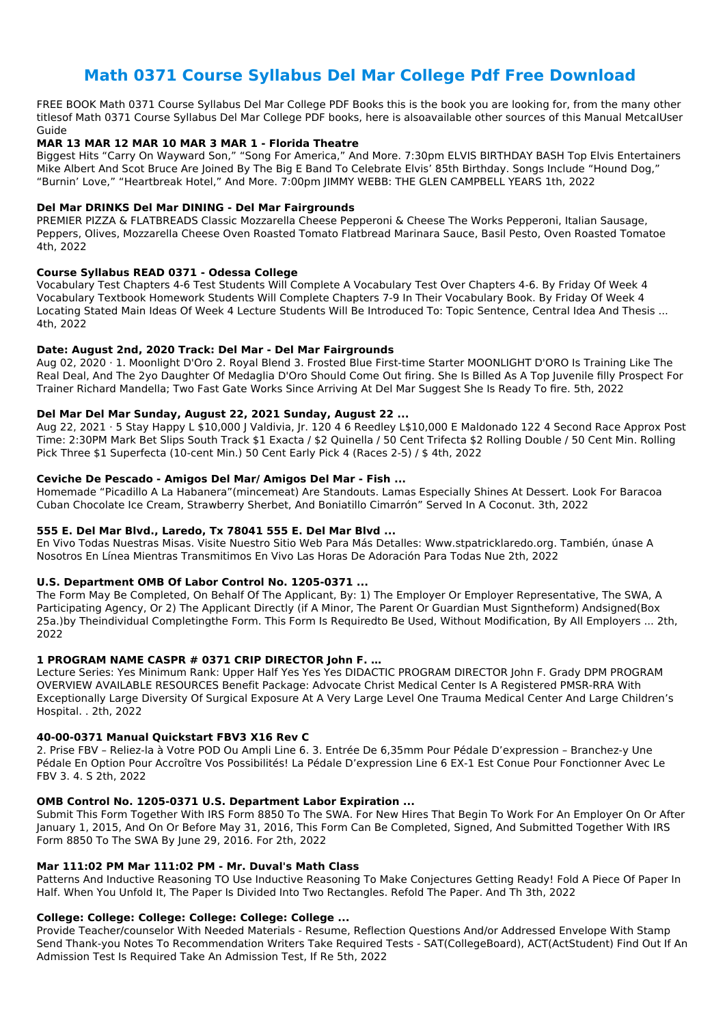# **Math 0371 Course Syllabus Del Mar College Pdf Free Download**

FREE BOOK Math 0371 Course Syllabus Del Mar College PDF Books this is the book you are looking for, from the many other titlesof Math 0371 Course Syllabus Del Mar College PDF books, here is alsoavailable other sources of this Manual MetcalUser Guide

#### **MAR 13 MAR 12 MAR 10 MAR 3 MAR 1 - Florida Theatre**

Biggest Hits "Carry On Wayward Son," "Song For America," And More. 7:30pm ELVIS BIRTHDAY BASH Top Elvis Entertainers Mike Albert And Scot Bruce Are Joined By The Big E Band To Celebrate Elvis' 85th Birthday. Songs Include "Hound Dog," "Burnin' Love," "Heartbreak Hotel," And More. 7:00pm JIMMY WEBB: THE GLEN CAMPBELL YEARS 1th, 2022

#### **Del Mar DRINKS Del Mar DINING - Del Mar Fairgrounds**

PREMIER PIZZA & FLATBREADS Classic Mozzarella Cheese Pepperoni & Cheese The Works Pepperoni, Italian Sausage, Peppers, Olives, Mozzarella Cheese Oven Roasted Tomato Flatbread Marinara Sauce, Basil Pesto, Oven Roasted Tomatoe 4th, 2022

#### **Course Syllabus READ 0371 - Odessa College**

Vocabulary Test Chapters 4-6 Test Students Will Complete A Vocabulary Test Over Chapters 4-6. By Friday Of Week 4 Vocabulary Textbook Homework Students Will Complete Chapters 7-9 In Their Vocabulary Book. By Friday Of Week 4 Locating Stated Main Ideas Of Week 4 Lecture Students Will Be Introduced To: Topic Sentence, Central Idea And Thesis ... 4th, 2022

#### **Date: August 2nd, 2020 Track: Del Mar - Del Mar Fairgrounds**

Aug 02, 2020 · 1. Moonlight D'Oro 2. Royal Blend 3. Frosted Blue First-time Starter MOONLIGHT D'ORO Is Training Like The Real Deal, And The 2yo Daughter Of Medaglia D'Oro Should Come Out firing. She Is Billed As A Top Juvenile filly Prospect For Trainer Richard Mandella; Two Fast Gate Works Since Arriving At Del Mar Suggest She Is Ready To fire. 5th, 2022

### **Del Mar Del Mar Sunday, August 22, 2021 Sunday, August 22 ...**

Aug 22, 2021 · 5 Stay Happy L \$10,000 J Valdivia, Jr. 120 4 6 Reedley L\$10,000 E Maldonado 122 4 Second Race Approx Post Time: 2:30PM Mark Bet Slips South Track \$1 Exacta / \$2 Quinella / 50 Cent Trifecta \$2 Rolling Double / 50 Cent Min. Rolling Pick Three \$1 Superfecta (10-cent Min.) 50 Cent Early Pick 4 (Races 2-5) / \$ 4th, 2022

### **Ceviche De Pescado - Amigos Del Mar/ Amigos Del Mar - Fish ...**

Homemade "Picadillo A La Habanera"(mincemeat) Are Standouts. Lamas Especially Shines At Dessert. Look For Baracoa Cuban Chocolate Ice Cream, Strawberry Sherbet, And Boniatillo Cimarrón" Served In A Coconut. 3th, 2022

### **555 E. Del Mar Blvd., Laredo, Tx 78041 555 E. Del Mar Blvd ...**

En Vivo Todas Nuestras Misas. Visite Nuestro Sitio Web Para Más Detalles: Www.stpatricklaredo.org. También, únase A Nosotros En Línea Mientras Transmitimos En Vivo Las Horas De Adoración Para Todas Nue 2th, 2022

### **U.S. Department OMB Of Labor Control No. 1205-0371 ...**

The Form May Be Completed, On Behalf Of The Applicant, By: 1) The Employer Or Employer Representative, The SWA, A Participating Agency, Or 2) The Applicant Directly (if A Minor, The Parent Or Guardian Must Signtheform) Andsigned(Box 25a.)by Theindividual Completingthe Form. This Form Is Requiredto Be Used, Without Modification, By All Employers ... 2th, 2022

### **1 PROGRAM NAME CASPR # 0371 CRIP DIRECTOR John F. …**

Lecture Series: Yes Minimum Rank: Upper Half Yes Yes Yes DIDACTIC PROGRAM DIRECTOR John F. Grady DPM PROGRAM OVERVIEW AVAILABLE RESOURCES Benefit Package: Advocate Christ Medical Center Is A Registered PMSR-RRA With Exceptionally Large Diversity Of Surgical Exposure At A Very Large Level One Trauma Medical Center And Large Children's Hospital. . 2th, 2022

#### **40-00-0371 Manual Quickstart FBV3 X16 Rev C**

2. Prise FBV – Reliez-la à Votre POD Ou Ampli Line 6. 3. Entrée De 6,35mm Pour Pédale D'expression – Branchez-y Une Pédale En Option Pour Accroître Vos Possibilités! La Pédale D'expression Line 6 EX-1 Est Conue Pour Fonctionner Avec Le

FBV 3. 4. S 2th, 2022

#### **OMB Control No. 1205-0371 U.S. Department Labor Expiration ...**

Submit This Form Together With IRS Form 8850 To The SWA. For New Hires That Begin To Work For An Employer On Or After January 1, 2015, And On Or Before May 31, 2016, This Form Can Be Completed, Signed, And Submitted Together With IRS Form 8850 To The SWA By June 29, 2016. For 2th, 2022

#### **Mar 111:02 PM Mar 111:02 PM - Mr. Duval's Math Class**

Patterns And Inductive Reasoning TO Use Inductive Reasoning To Make Conjectures Getting Ready! Fold A Piece Of Paper In Half. When You Unfold It, The Paper Is Divided Into Two Rectangles. Refold The Paper. And Th 3th, 2022

#### **College: College: College: College: College: College ...**

Provide Teacher/counselor With Needed Materials - Resume, Reflection Questions And/or Addressed Envelope With Stamp Send Thank-you Notes To Recommendation Writers Take Required Tests - SAT(CollegeBoard), ACT(ActStudent) Find Out If An Admission Test Is Required Take An Admission Test, If Re 5th, 2022